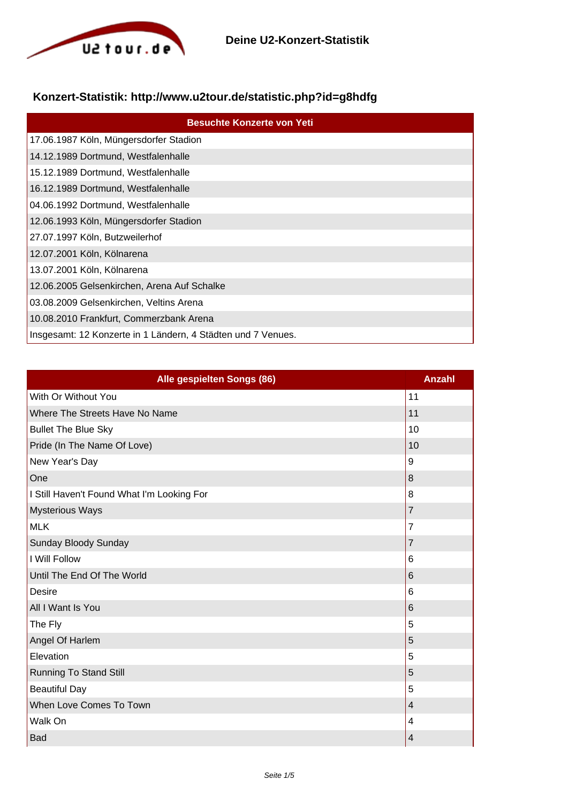

## **Konzert-Statistik: http://www.u2tour.de/statistic.php?id=g8hdfg**

| <b>Besuchte Konzerte von Yeti</b>                            |
|--------------------------------------------------------------|
| 17.06.1987 Köln, Müngersdorfer Stadion                       |
| 14.12.1989 Dortmund, Westfalenhalle                          |
| 15.12.1989 Dortmund, Westfalenhalle                          |
| 16.12.1989 Dortmund, Westfalenhalle                          |
| 04.06.1992 Dortmund, Westfalenhalle                          |
| 12.06.1993 Köln, Müngersdorfer Stadion                       |
| 27.07.1997 Köln, Butzweilerhof                               |
| 12.07.2001 Köln, Kölnarena                                   |
| 13.07.2001 Köln, Kölnarena                                   |
| 12.06.2005 Gelsenkirchen, Arena Auf Schalke                  |
| 03.08.2009 Gelsenkirchen, Veltins Arena                      |
| 10.08.2010 Frankfurt, Commerzbank Arena                      |
| Insgesamt: 12 Konzerte in 1 Ländern, 4 Städten und 7 Venues. |

| Alle gespielten Songs (86)                 | <b>Anzahl</b>            |
|--------------------------------------------|--------------------------|
| With Or Without You                        | 11                       |
| Where The Streets Have No Name             | 11                       |
| <b>Bullet The Blue Sky</b>                 | 10                       |
| Pride (In The Name Of Love)                | 10                       |
| New Year's Day                             | 9                        |
| One                                        | $\,8\,$                  |
| I Still Haven't Found What I'm Looking For | 8                        |
| <b>Mysterious Ways</b>                     | $\overline{7}$           |
| <b>MLK</b>                                 | $\overline{7}$           |
| Sunday Bloody Sunday                       | $\overline{7}$           |
| I Will Follow                              | 6                        |
| Until The End Of The World                 | $\,6$                    |
| <b>Desire</b>                              | 6                        |
| All I Want Is You                          | 6                        |
| The Fly                                    | 5                        |
| Angel Of Harlem                            | 5                        |
| Elevation                                  | 5                        |
| <b>Running To Stand Still</b>              | 5                        |
| <b>Beautiful Day</b>                       | 5                        |
| When Love Comes To Town                    | $\overline{\mathcal{A}}$ |
| Walk On                                    | 4                        |
| Bad                                        | $\overline{\mathbf{4}}$  |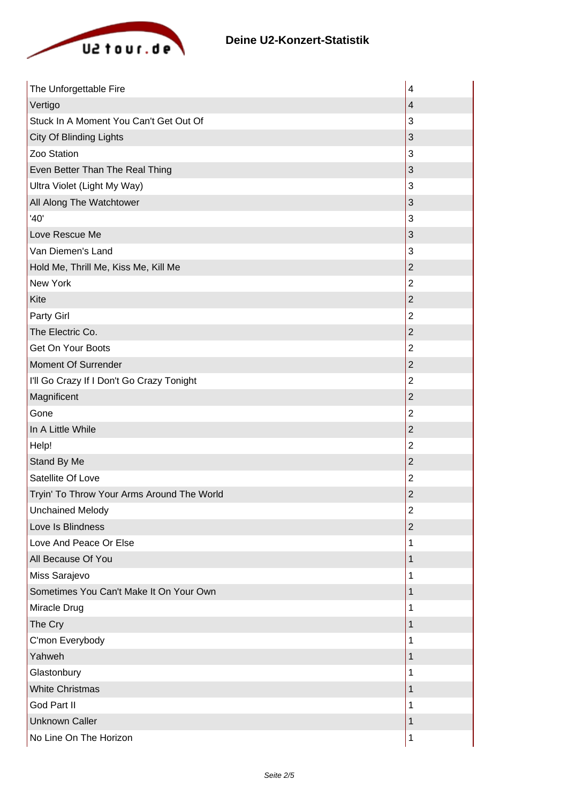

| The Unforgettable Fire                     | 4                       |
|--------------------------------------------|-------------------------|
| Vertigo                                    | $\overline{4}$          |
| Stuck In A Moment You Can't Get Out Of     | 3                       |
| <b>City Of Blinding Lights</b>             | 3                       |
| Zoo Station                                | 3                       |
| Even Better Than The Real Thing            | $\sqrt{3}$              |
| Ultra Violet (Light My Way)                | 3                       |
| All Along The Watchtower                   | 3                       |
| '40'                                       | 3                       |
| Love Rescue Me                             | 3                       |
| Van Diemen's Land                          | 3                       |
| Hold Me, Thrill Me, Kiss Me, Kill Me       | $\overline{c}$          |
| New York                                   | $\overline{2}$          |
| Kite                                       | $\overline{c}$          |
| Party Girl                                 | $\overline{2}$          |
| The Electric Co.                           | $\boldsymbol{2}$        |
| Get On Your Boots                          | $\mathbf 2$             |
| Moment Of Surrender                        | $\overline{c}$          |
| I'll Go Crazy If I Don't Go Crazy Tonight  | $\overline{2}$          |
| Magnificent                                | $\overline{2}$          |
| Gone                                       | $\overline{c}$          |
| In A Little While                          | $\mathbf 2$             |
| Help!                                      | $\overline{c}$          |
| Stand By Me                                | $\overline{c}$          |
| Satellite Of Love                          | $\overline{2}$          |
| Tryin' To Throw Your Arms Around The World | $\overline{2}$          |
| <b>Unchained Melody</b>                    | $\overline{\mathbf{c}}$ |
| Love Is Blindness                          | $\overline{c}$          |
| Love And Peace Or Else                     | 1                       |
| All Because Of You                         | 1                       |
| Miss Sarajevo                              | 1                       |
| Sometimes You Can't Make It On Your Own    | 1                       |
| Miracle Drug                               | 1                       |
| The Cry                                    | 1                       |
| C'mon Everybody                            | 1                       |
| Yahweh                                     | 1                       |
| Glastonbury                                | 1                       |
| <b>White Christmas</b>                     | 1                       |
| God Part II                                | 1                       |
| <b>Unknown Caller</b>                      | 1                       |
| No Line On The Horizon                     | 1                       |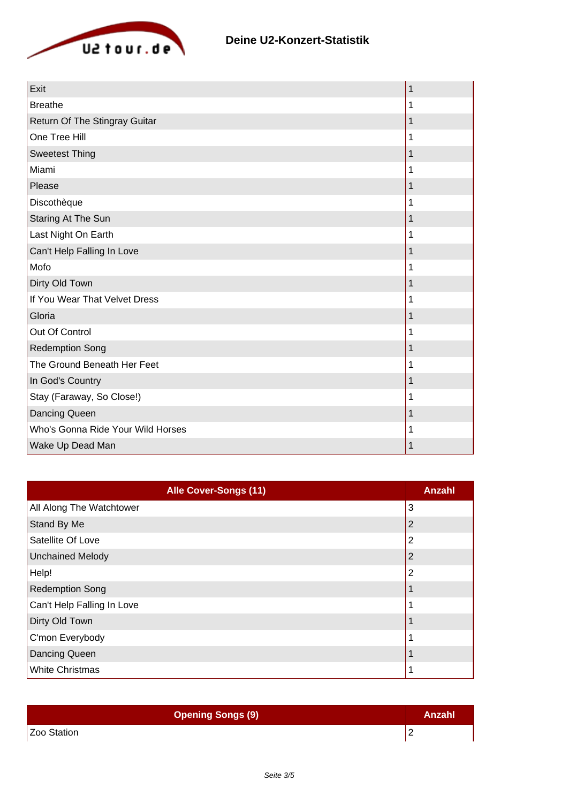

| Exit                              | 1 |
|-----------------------------------|---|
| <b>Breathe</b>                    | 1 |
| Return Of The Stingray Guitar     | 1 |
| One Tree Hill                     | 1 |
| <b>Sweetest Thing</b>             | 1 |
| Miami                             | 1 |
| Please                            | 1 |
| Discothèque                       | 1 |
| Staring At The Sun                | 1 |
| Last Night On Earth               | 1 |
| Can't Help Falling In Love        | 1 |
| Mofo                              | 1 |
| Dirty Old Town                    | 1 |
| If You Wear That Velvet Dress     | 1 |
| Gloria                            | 1 |
| Out Of Control                    | 1 |
| <b>Redemption Song</b>            | 1 |
| The Ground Beneath Her Feet       | 1 |
| In God's Country                  | 1 |
| Stay (Faraway, So Close!)         | 1 |
| Dancing Queen                     | 1 |
| Who's Gonna Ride Your Wild Horses | 1 |
| Wake Up Dead Man                  |   |

| <b>Alle Cover-Songs (11)</b> | Anzahl |
|------------------------------|--------|
| All Along The Watchtower     | 3      |
| Stand By Me                  |        |
| Satellite Of Love            | 2      |
| Unchained Melody             |        |
| Help!                        | 2      |
| <b>Redemption Song</b>       |        |
| Can't Help Falling In Love   |        |
| Dirty Old Town               |        |
| C'mon Everybody              |        |
| Dancing Queen                |        |
| <b>White Christmas</b>       |        |

| <b>Opening Songs (9)</b> | Anzahl |
|--------------------------|--------|
| Zoo Station              | C<br>- |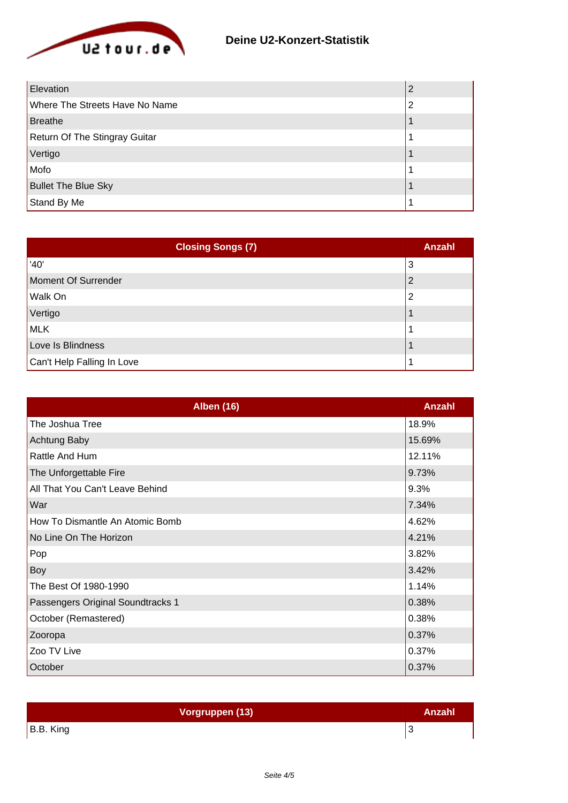

| Elevation                            |   |
|--------------------------------------|---|
| Where The Streets Have No Name       | 2 |
| <b>Breathe</b>                       |   |
| <b>Return Of The Stingray Guitar</b> |   |
| Vertigo                              |   |
| Mofo                                 |   |
| <b>Bullet The Blue Sky</b>           |   |
| Stand By Me                          |   |

| <b>Closing Songs (7)</b>   | <b>Anzahl</b> |
|----------------------------|---------------|
| '40'                       | 3             |
| Moment Of Surrender        | 2             |
| Walk On                    | າ             |
| Vertigo                    |               |
| MLK                        |               |
| Love Is Blindness          |               |
| Can't Help Falling In Love |               |

| <b>Alben (16)</b>                 | Anzahl |
|-----------------------------------|--------|
| The Joshua Tree                   | 18.9%  |
| <b>Achtung Baby</b>               | 15.69% |
| Rattle And Hum                    | 12.11% |
| The Unforgettable Fire            | 9.73%  |
| All That You Can't Leave Behind   | 9.3%   |
| War                               | 7.34%  |
| How To Dismantle An Atomic Bomb   | 4.62%  |
| No Line On The Horizon            | 4.21%  |
| Pop                               | 3.82%  |
| Boy                               | 3.42%  |
| The Best Of 1980-1990             | 1.14%  |
| Passengers Original Soundtracks 1 | 0.38%  |
| October (Remastered)              | 0.38%  |
| Zooropa                           | 0.37%  |
| Zoo TV Live                       | 0.37%  |
| October                           | 0.37%  |

| Vorgruppen (13) | Anzahl |
|-----------------|--------|
| B.B. King       |        |